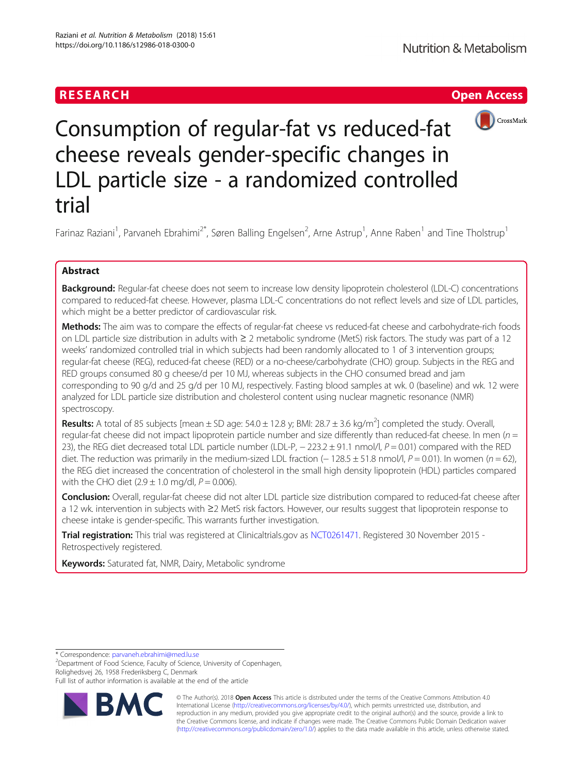# RESEARCH **RESEARCH CHANNEL EXECUTE ACCESS**



Consumption of regular-fat vs reduced-fat cheese reveals gender-specific changes in LDL particle size - a randomized controlled trial

Farinaz Raziani<sup>1</sup>, Parvaneh Ebrahimi<sup>2\*</sup>, Søren Balling Engelsen<sup>2</sup>, Arne Astrup<sup>1</sup>, Anne Raben<sup>1</sup> and Tine Tholstrup<sup>1</sup>

# Abstract

Background: Regular-fat cheese does not seem to increase low density lipoprotein cholesterol (LDL-C) concentrations compared to reduced-fat cheese. However, plasma LDL-C concentrations do not reflect levels and size of LDL particles, which might be a better predictor of cardiovascular risk.

Methods: The aim was to compare the effects of regular-fat cheese vs reduced-fat cheese and carbohydrate-rich foods on LDL particle size distribution in adults with ≥ 2 metabolic syndrome (MetS) risk factors. The study was part of a 12 weeks' randomized controlled trial in which subjects had been randomly allocated to 1 of 3 intervention groups; regular-fat cheese (REG), reduced-fat cheese (RED) or a no-cheese/carbohydrate (CHO) group. Subjects in the REG and RED groups consumed 80 g cheese/d per 10 MJ, whereas subjects in the CHO consumed bread and jam corresponding to 90 g/d and 25 g/d per 10 MJ, respectively. Fasting blood samples at wk. 0 (baseline) and wk. 12 were analyzed for LDL particle size distribution and cholesterol content using nuclear magnetic resonance (NMR) spectroscopy.

Results: A total of 85 subjects [mean ± SD age: 54.0 ± 12.8 y; BMI: 28.7 ± 3.6 kg/m<sup>2</sup>] completed the study. Overall, regular-fat cheese did not impact lipoprotein particle number and size differently than reduced-fat cheese. In men  $(n =$ 23), the REG diet decreased total LDL particle number (LDL-P, − 223.2 ± 91.1 nmol/l, P = 0.01) compared with the RED diet. The reduction was primarily in the medium-sized LDL fraction (− 128.5 ± 51.8 nmol/l,  $P = 0.01$ ). In women (n = 62), the REG diet increased the concentration of cholesterol in the small high density lipoprotein (HDL) particles compared with the CHO diet  $(2.9 \pm 1.0 \text{ mg/d}$ ,  $P = 0.006$ ).

Conclusion: Overall, regular-fat cheese did not alter LDL particle size distribution compared to reduced-fat cheese after a 12 wk. intervention in subjects with ≥2 MetS risk factors. However, our results suggest that lipoprotein response to cheese intake is gender-specific. This warrants further investigation.

Trial registration: This trial was registered at Clinicaltrials.gov as [NCT0261471.](https://clinicaltrials.gov/ct2/show/NCT02616471?term=02616471&rank=1) Registered 30 November 2015 -Retrospectively registered.

Keywords: Saturated fat, NMR, Dairy, Metabolic syndrome

\* Correspondence: [parvaneh.ebrahimi@med.lu.se](mailto:parvaneh.ebrahimi@med.lu.se) <sup>2</sup>

<sup>2</sup>Department of Food Science, Faculty of Science, University of Copenhagen, Rolighedsvej 26, 1958 Frederiksberg C, Denmark

Full list of author information is available at the end of the article



© The Author(s). 2018 Open Access This article is distributed under the terms of the Creative Commons Attribution 4.0 International License [\(http://creativecommons.org/licenses/by/4.0/](http://creativecommons.org/licenses/by/4.0/)), which permits unrestricted use, distribution, and reproduction in any medium, provided you give appropriate credit to the original author(s) and the source, provide a link to the Creative Commons license, and indicate if changes were made. The Creative Commons Public Domain Dedication waiver [\(http://creativecommons.org/publicdomain/zero/1.0/](http://creativecommons.org/publicdomain/zero/1.0/)) applies to the data made available in this article, unless otherwise stated.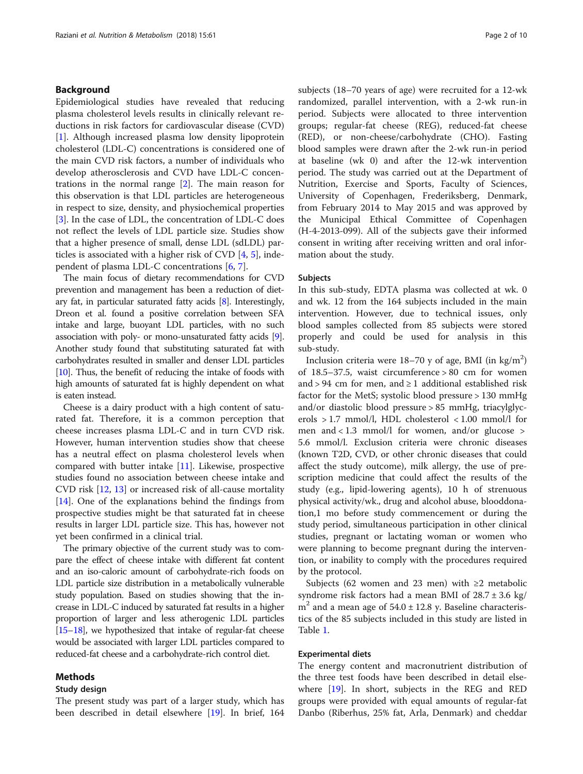# Background

Epidemiological studies have revealed that reducing plasma cholesterol levels results in clinically relevant reductions in risk factors for cardiovascular disease (CVD) [[1\]](#page-8-0). Although increased plasma low density lipoprotein cholesterol (LDL-C) concentrations is considered one of the main CVD risk factors, a number of individuals who develop atherosclerosis and CVD have LDL-C concentrations in the normal range [[2\]](#page-8-0). The main reason for this observation is that LDL particles are heterogeneous in respect to size, density, and physiochemical properties [[3\]](#page-8-0). In the case of LDL, the concentration of LDL-C does not reflect the levels of LDL particle size. Studies show that a higher presence of small, dense LDL (sdLDL) particles is associated with a higher risk of CVD [\[4](#page-8-0), [5](#page-8-0)], independent of plasma LDL-C concentrations [\[6](#page-8-0), [7](#page-8-0)].

The main focus of dietary recommendations for CVD prevention and management has been a reduction of dietary fat, in particular saturated fatty acids [[8](#page-8-0)]. Interestingly, Dreon et al. found a positive correlation between SFA intake and large, buoyant LDL particles, with no such association with poly- or mono-unsaturated fatty acids [[9](#page-8-0)]. Another study found that substituting saturated fat with carbohydrates resulted in smaller and denser LDL particles [[10](#page-8-0)]. Thus, the benefit of reducing the intake of foods with high amounts of saturated fat is highly dependent on what is eaten instead.

Cheese is a dairy product with a high content of saturated fat. Therefore, it is a common perception that cheese increases plasma LDL-C and in turn CVD risk. However, human intervention studies show that cheese has a neutral effect on plasma cholesterol levels when compared with butter intake [[11\]](#page-8-0). Likewise, prospective studies found no association between cheese intake and CVD risk [[12,](#page-8-0) [13\]](#page-8-0) or increased risk of all-cause mortality [[14\]](#page-8-0). One of the explanations behind the findings from prospective studies might be that saturated fat in cheese results in larger LDL particle size. This has, however not yet been confirmed in a clinical trial.

The primary objective of the current study was to compare the effect of cheese intake with different fat content and an iso-caloric amount of carbohydrate-rich foods on LDL particle size distribution in a metabolically vulnerable study population. Based on studies showing that the increase in LDL-C induced by saturated fat results in a higher proportion of larger and less atherogenic LDL particles [[15](#page-8-0)–[18](#page-9-0)], we hypothesized that intake of regular-fat cheese would be associated with larger LDL particles compared to reduced-fat cheese and a carbohydrate-rich control diet.

# Methods

#### Study design

The present study was part of a larger study, which has been described in detail elsewhere [\[19\]](#page-9-0). In brief, 164 subjects (18–70 years of age) were recruited for a 12-wk randomized, parallel intervention, with a 2-wk run-in period. Subjects were allocated to three intervention groups; regular-fat cheese (REG), reduced-fat cheese (RED), or non-cheese/carbohydrate (CHO). Fasting blood samples were drawn after the 2-wk run-in period at baseline (wk 0) and after the 12-wk intervention period. The study was carried out at the Department of Nutrition, Exercise and Sports, Faculty of Sciences, University of Copenhagen, Frederiksberg, Denmark, from February 2014 to May 2015 and was approved by the Municipal Ethical Committee of Copenhagen (H-4-2013-099). All of the subjects gave their informed consent in writing after receiving written and oral information about the study.

#### Subjects

In this sub-study, EDTA plasma was collected at wk. 0 and wk. 12 from the 164 subjects included in the main intervention. However, due to technical issues, only blood samples collected from 85 subjects were stored properly and could be used for analysis in this sub-study.

Inclusion criteria were  $18-70$  y of age, BMI (in kg/m<sup>2</sup>) of 18.5–37.5, waist circumference > 80 cm for women and > 94 cm for men, and  $\geq 1$  additional established risk factor for the MetS; systolic blood pressure > 130 mmHg and/or diastolic blood pressure > 85 mmHg, triacylglycerols > 1.7 mmol/l, HDL cholesterol < 1.00 mmol/l for men and  $< 1.3$  mmol/l for women, and/or glucose  $>$ 5.6 mmol/l. Exclusion criteria were chronic diseases (known T2D, CVD, or other chronic diseases that could affect the study outcome), milk allergy, the use of prescription medicine that could affect the results of the study (e.g., lipid-lowering agents), 10 h of strenuous physical activity/wk., drug and alcohol abuse, blooddonation,1 mo before study commencement or during the study period, simultaneous participation in other clinical studies, pregnant or lactating woman or women who were planning to become pregnant during the intervention, or inability to comply with the procedures required by the protocol.

Subjects (62 women and 23 men) with ≥2 metabolic syndrome risk factors had a mean BMI of  $28.7 \pm 3.6$  kg/  $m<sup>2</sup>$  and a mean age of 54.0  $\pm$  12.8 y. Baseline characteristics of the 85 subjects included in this study are listed in Table [1.](#page-2-0)

## Experimental diets

The energy content and macronutrient distribution of the three test foods have been described in detail elsewhere [\[19](#page-9-0)]. In short, subjects in the REG and RED groups were provided with equal amounts of regular-fat Danbo (Riberhus, 25% fat, Arla, Denmark) and cheddar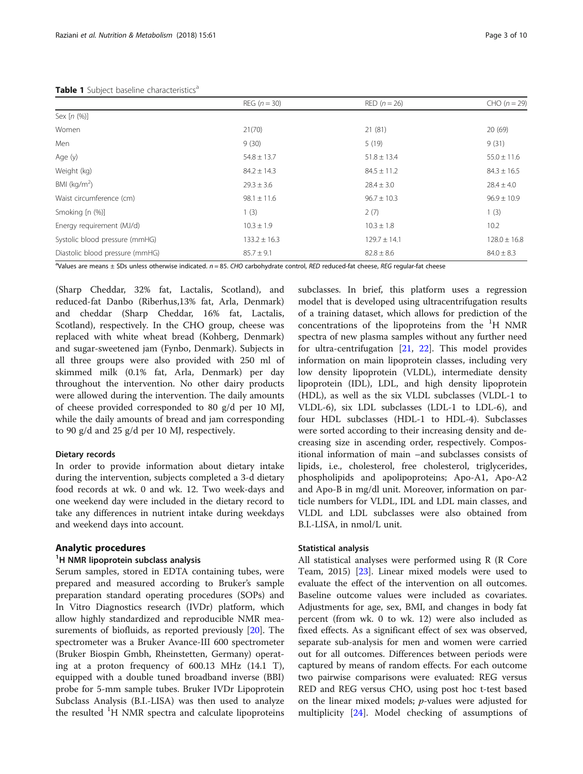<span id="page-2-0"></span>

|                                 | REG $(n = 30)$   | $RED (n = 26)$   | $CHO (n = 29)$   |
|---------------------------------|------------------|------------------|------------------|
| Sex $[n (%)]$                   |                  |                  |                  |
| Women                           | 21(70)           | 21(81)           | 20(69)           |
| Men                             | 9(30)            | 5(19)            | 9(31)            |
| Age (y)                         | $54.8 \pm 13.7$  | $51.8 \pm 13.4$  | $55.0 \pm 11.6$  |
| Weight (kg)                     | $84.2 \pm 14.3$  | $84.5 \pm 11.2$  | $84.3 \pm 16.5$  |
| BMI ( $kg/m2$ )                 | $29.3 \pm 3.6$   | $28.4 \pm 3.0$   | $28.4 \pm 4.0$   |
| Waist circumference (cm)        | $98.1 \pm 11.6$  | $96.7 \pm 10.3$  | $96.9 \pm 10.9$  |
| Smoking [n (%)]                 | 1(3)             | 2(7)             | 1(3)             |
| Energy requirement (MJ/d)       | $10.3 \pm 1.9$   | $10.3 \pm 1.8$   | 10.2             |
| Systolic blood pressure (mmHG)  | $133.2 \pm 16.3$ | $129.7 \pm 14.1$ | $128.0 \pm 16.8$ |
| Diastolic blood pressure (mmHG) | $85.7 \pm 9.1$   | $82.8 \pm 8.6$   | $84.0 \pm 8.3$   |

aValues are means ± SDs unless otherwise indicated.  $n = 85$ . CHO carbohydrate control, RED reduced-fat cheese, REG regular-fat cheese

(Sharp Cheddar, 32% fat, Lactalis, Scotland), and reduced-fat Danbo (Riberhus,13% fat, Arla, Denmark) and cheddar (Sharp Cheddar, 16% fat, Lactalis, Scotland), respectively. In the CHO group, cheese was replaced with white wheat bread (Kohberg, Denmark) and sugar-sweetened jam (Fynbo, Denmark). Subjects in all three groups were also provided with 250 ml of skimmed milk (0.1% fat, Arla, Denmark) per day throughout the intervention. No other dairy products were allowed during the intervention. The daily amounts of cheese provided corresponded to 80 g/d per 10 MJ, while the daily amounts of bread and jam corresponding to 90 g/d and 25 g/d per 10 MJ, respectively.

#### Dietary records

In order to provide information about dietary intake during the intervention, subjects completed a 3-d dietary food records at wk. 0 and wk. 12. Two week-days and one weekend day were included in the dietary record to take any differences in nutrient intake during weekdays and weekend days into account.

# Analytic procedures

# <sup>1</sup>H NMR lipoprotein subclass analysis

Serum samples, stored in EDTA containing tubes, were prepared and measured according to Bruker's sample preparation standard operating procedures (SOPs) and In Vitro Diagnostics research (IVDr) platform, which allow highly standardized and reproducible NMR measurements of biofluids, as reported previously [\[20](#page-9-0)]. The spectrometer was a Bruker Avance-III 600 spectrometer (Bruker Biospin Gmbh, Rheinstetten, Germany) operating at a proton frequency of 600.13 MHz (14.1 T), equipped with a double tuned broadband inverse (BBI) probe for 5-mm sample tubes. Bruker IVDr Lipoprotein Subclass Analysis (B.I.-LISA) was then used to analyze the resulted <sup>1</sup>H NMR spectra and calculate lipoproteins

subclasses. In brief, this platform uses a regression model that is developed using ultracentrifugation results of a training dataset, which allows for prediction of the concentrations of the lipoproteins from the <sup>1</sup> H NMR spectra of new plasma samples without any further need for ultra-centrifugation [[21,](#page-9-0) [22](#page-9-0)]. This model provides information on main lipoprotein classes, including very low density lipoprotein (VLDL), intermediate density lipoprotein (IDL), LDL, and high density lipoprotein (HDL), as well as the six VLDL subclasses (VLDL-1 to VLDL-6), six LDL subclasses (LDL-1 to LDL-6), and four HDL subclasses (HDL-1 to HDL-4). Subclasses were sorted according to their increasing density and decreasing size in ascending order, respectively. Compositional information of main –and subclasses consists of lipids, i.e., cholesterol, free cholesterol, triglycerides, phospholipids and apolipoproteins; Apo-A1, Apo-A2 and Apo-B in mg/dl unit. Moreover, information on particle numbers for VLDL, IDL and LDL main classes, and VLDL and LDL subclasses were also obtained from B.I.-LISA, in nmol/L unit.

# Statistical analysis

All statistical analyses were performed using R (R Core Team, 2015) [\[23](#page-9-0)]. Linear mixed models were used to evaluate the effect of the intervention on all outcomes. Baseline outcome values were included as covariates. Adjustments for age, sex, BMI, and changes in body fat percent (from wk. 0 to wk. 12) were also included as fixed effects. As a significant effect of sex was observed, separate sub-analysis for men and women were carried out for all outcomes. Differences between periods were captured by means of random effects. For each outcome two pairwise comparisons were evaluated: REG versus RED and REG versus CHO, using post hoc t-test based on the linear mixed models; p-values were adjusted for multiplicity [\[24\]](#page-9-0). Model checking of assumptions of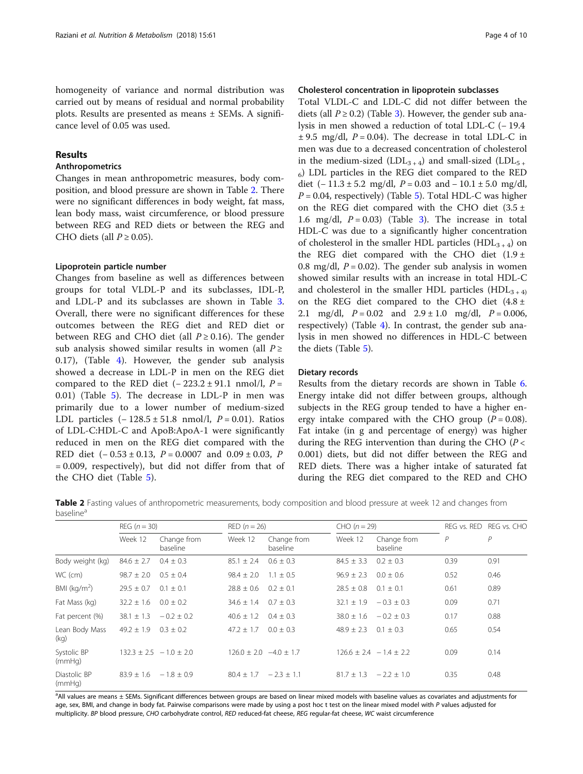homogeneity of variance and normal distribution was carried out by means of residual and normal probability plots. Results are presented as means ± SEMs. A significance level of 0.05 was used.

# Results

# Anthropometrics

Changes in mean anthropometric measures, body composition, and blood pressure are shown in Table 2. There were no significant differences in body weight, fat mass, lean body mass, waist circumference, or blood pressure between REG and RED diets or between the REG and CHO diets (all  $P \ge 0.05$ ).

#### Lipoprotein particle number

Changes from baseline as well as differences between groups for total VLDL-P and its subclasses, IDL-P, and LDL-P and its subclasses are shown in Table [3](#page-4-0). Overall, there were no significant differences for these outcomes between the REG diet and RED diet or between REG and CHO diet (all  $P \ge 0.16$ ). The gender sub analysis showed similar results in women (all  $P \geq$ 0.17), (Table [4](#page-5-0)). However, the gender sub analysis showed a decrease in LDL-P in men on the REG diet compared to the RED diet  $(-223.2 \pm 91.1 \text{ nmol/l}, P =$ 0.01) (Table [5\)](#page-6-0). The decrease in LDL-P in men was primarily due to a lower number of medium-sized LDL particles  $(-128.5 \pm 51.8 \text{ nmol/l}, P = 0.01)$ . Ratios of LDL-C:HDL-C and ApoB:ApoA-1 were significantly reduced in men on the REG diet compared with the RED diet  $(-0.53 \pm 0.13, P = 0.0007$  and  $0.09 \pm 0.03, P$ = 0.009, respectively), but did not differ from that of the CHO diet (Table [5](#page-6-0)).

# Cholesterol concentration in lipoprotein subclasses

Total VLDL-C and LDL-C did not differ between the diets (all  $P \ge 0.2$ ) (Table [3](#page-4-0)). However, the gender sub analysis in men showed a reduction of total LDL-C (− 19.4  $\pm$  9.5 mg/dl, P = 0.04). The decrease in total LDL-C in men was due to a decreased concentration of cholesterol in the medium-sized (LDL<sub>3+4</sub>) and small-sized (LDL<sub>5+</sub>  $6$ ) LDL particles in the REG diet compared to the RED diet  $(-11.3 \pm 5.2 \text{ mg/dl}, P = 0.03 \text{ and } -10.1 \pm 5.0 \text{ mg/dl},$  $P = 0.04$ , respectively) (Table [5](#page-6-0)). Total HDL-C was higher on the REG diet compared with the CHO diet  $(3.5 \pm$ 1.6 mg/dl,  $P = 0.03$  $P = 0.03$ ) (Table 3). The increase in total HDL-C was due to a significantly higher concentration of cholesterol in the smaller HDL particles (HDL<sub>3+4</sub>) on the REG diet compared with the CHO diet  $(1.9 \pm$ 0.8 mg/dl,  $P = 0.02$ ). The gender sub analysis in women showed similar results with an increase in total HDL-C and cholesterol in the smaller HDL particles  $(HDL_{3+4}$ on the REG diet compared to the CHO diet  $(4.8 \pm$ 2.1 mg/dl,  $P = 0.02$  and  $2.9 \pm 1.0$  mg/dl,  $P = 0.006$ , respectively) (Table [4](#page-5-0)). In contrast, the gender sub analysis in men showed no differences in HDL-C between the diets (Table [5\)](#page-6-0).

## Dietary records

Results from the dietary records are shown in Table [6](#page-7-0). Energy intake did not differ between groups, although subjects in the REG group tended to have a higher energy intake compared with the CHO group  $(P = 0.08)$ . Fat intake (in g and percentage of energy) was higher during the REG intervention than during the CHO ( $P <$ 0.001) diets, but did not differ between the REG and RED diets. There was a higher intake of saturated fat during the REG diet compared to the RED and CHO

Table 2 Fasting values of anthropometric measurements, body composition and blood pressure at week 12 and changes from baseline<sup>a</sup>

|                        | REG $(n = 30)$ |                           |                | $RED (n = 26)$           |                | $CHO (n = 29)$            |              | REG vs. RED REG vs. CHO |
|------------------------|----------------|---------------------------|----------------|--------------------------|----------------|---------------------------|--------------|-------------------------|
|                        | Week 12        | Change from<br>baseline   | Week 12        | Change from<br>baseline  | Week 12        | Change from<br>baseline   | $\mathsf{P}$ | Р                       |
| Body weight (kg)       | $84.6 \pm 2.7$ | $0.4 \pm 0.3$             | $85.1 \pm 2.4$ | $0.6 \pm 0.3$            | $84.5 \pm 3.3$ | $0.2 \pm 0.3$             | 0.39         | 0.91                    |
| WC (cm)                | $98.7 \pm 2.0$ | $0.5 \pm 0.4$             | $98.4 \pm 2.0$ | $1.1 + 0.5$              | $96.9 \pm 2.3$ | $0.0 + 0.6$               | 0.52         | 0.46                    |
| BMI $(kq/m2)$          | $29.5 \pm 0.7$ | $0.1 \pm 0.1$             | $78.8 + 0.6$   | $0.2 + 0.1$              | $28.5 \pm 0.8$ | $0.1 + 0.1$               | 0.61         | 0.89                    |
| Fat Mass (kg)          | $32.2 \pm 1.6$ | $0.0 \pm 0.2$             | $34.6 \pm 1.4$ | $0.7 \pm 0.3$            | $32.1 \pm 1.9$ | $-0.3 \pm 0.3$            | 0.09         | 0.71                    |
| Fat percent (%)        | $38.1 \pm 1.3$ | $-0.2 \pm 0.2$            | $40.6 \pm 1.2$ | $0.4 + 0.3$              | $38.0 + 1.6$   | $-0.2 + 0.3$              | 0.17         | 0.88                    |
| Lean Body Mass<br>(kq) | $49.2 \pm 1.9$ | $0.3 \pm 0.2$             | $47.2 \pm 1.7$ | $0.0 + 0.3$              | $48.9 \pm 2.3$ | $0.1 \pm 0.3$             | 0.65         | 0.54                    |
| Systolic BP<br>(mmHq)  |                | $132.3 + 2.5 - 1.0 + 2.0$ |                | $126.0 + 2.0 -4.0 + 1.7$ |                | $126.6 + 2.4 - 1.4 + 2.2$ | 0.09         | 0.14                    |
| Diastolic BP<br>(mmHq) | $83.9 \pm 1.6$ | $-1.8 \pm 0.9$            | $80.4 \pm 1.7$ | $-2.3 \pm 1.1$           | $81.7 \pm 1.3$ | $-2.2 + 1.0$              | 0.35         | 0.48                    |

a<br>All values are means ± SEMs. Significant differences between groups are based on linear mixed models with baseline values as covariates and adjustments for age, sex, BMI, and change in body fat. Pairwise comparisons were made by using a post hoc t test on the linear mixed model with P values adjusted for multiplicity. BP blood pressure, CHO carbohydrate control, RED reduced-fat cheese, REG regular-fat cheese, WC waist circumference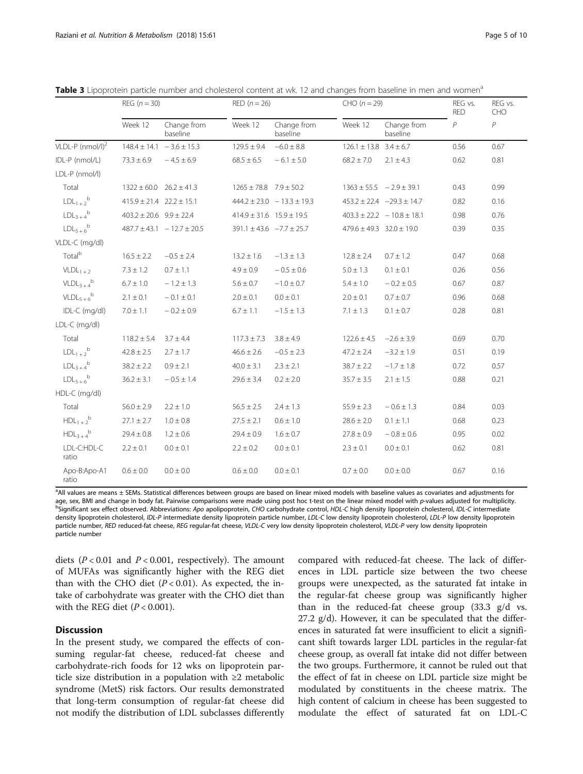|                                | $REG (n = 30)$                   |                                  |                                  | $RED (n = 26)$                   |                                  | $CHO(n=29)$                       |                | REG vs.<br>CHO   |  |
|--------------------------------|----------------------------------|----------------------------------|----------------------------------|----------------------------------|----------------------------------|-----------------------------------|----------------|------------------|--|
|                                | Week 12                          | Change from<br>baseline          | Week 12                          | Change from<br>baseline          | Week 12                          | Change from<br>baseline           | $\overline{P}$ | $\boldsymbol{P}$ |  |
| $VLDL-P$ (nmol/l) <sup>2</sup> |                                  | $148.4 \pm 14.1 - 3.6 \pm 15.3$  | $129.5 \pm 9.4$                  | $-6.0 \pm 8.8$                   | $126.1 \pm 13.8$ $3.4 \pm 6.7$   |                                   | 0.56           | 0.67             |  |
| IDL-P (nmol/L)                 | $73.3 \pm 6.9$                   | $-4.5 \pm 6.9$                   | $68.5 \pm 6.5$                   | $-6.1 \pm 5.0$                   | $68.2 \pm 7.0$                   | $2.1 \pm 4.3$                     | 0.62           | 0.81             |  |
| LDL-P (nmol/l)                 |                                  |                                  |                                  |                                  |                                  |                                   |                |                  |  |
| Total                          | $1322 \pm 60.0$ $26.2 \pm 41.3$  |                                  | $1265 \pm 78.8$ $7.9 \pm 50.2$   |                                  |                                  | $1363 \pm 55.5 - 2.9 \pm 39.1$    | 0.43           | 0.99             |  |
| $LDL_{1+2}^b$                  | $415.9 \pm 21.4$ $22.2 \pm 15.1$ |                                  |                                  | $444.2 \pm 23.0 - 13.3 \pm 19.3$ |                                  | $453.2 \pm 22.4$ -29.3 $\pm$ 14.7 | 0.82           | 0.16             |  |
| $LDL_{3+4}^b$                  | $403.2 \pm 20.6$ $9.9 \pm 22.4$  |                                  | $414.9 \pm 31.6$ $15.9 \pm 19.5$ |                                  |                                  | $403.3 \pm 22.2 - 10.8 \pm 18.1$  | 0.98           | 0.76             |  |
| $LDL_{5+6}^b$                  |                                  | $487.7 \pm 43.1 - 12.7 \pm 20.5$ |                                  | $391.1 \pm 43.6$ -7.7 $\pm 25.7$ | $479.6 \pm 49.3$ 32.0 $\pm$ 19.0 |                                   | 0.39           | 0.35             |  |
| VLDL-C (mg/dl)                 |                                  |                                  |                                  |                                  |                                  |                                   |                |                  |  |
| Total <sup>b</sup>             | $16.5 \pm 2.2$                   | $-0.5 \pm 2.4$                   | $13.2 \pm 1.6$                   | $-1.3 \pm 1.3$                   | $12.8 \pm 2.4$                   | $0.7 \pm 1.2$                     | 0.47           | 0.68             |  |
| $VLDL1+2$                      | $7.3 \pm 1.2$                    | $0.7 \pm 1.1$                    | $4.9 \pm 0.9$                    | $-0.5 \pm 0.6$                   | $5.0 \pm 1.3$                    | $0.1 \pm 0.1$                     | 0.26           | 0.56             |  |
| $VLDL_{3+4}^{\ b}$             | $6.7 \pm 1.0$                    | $-1.2 \pm 1.3$                   | $5.6 \pm 0.7$                    | $-1.0 \pm 0.7$                   | $5.4 \pm 1.0$                    | $-0.2 \pm 0.5$                    | 0.67           | 0.87             |  |
| $VLDL5+6b$                     | $2.1 \pm 0.1$                    | $-0.1 \pm 0.1$                   | $2.0 \pm 0.1$                    | $0.0 \pm 0.1$                    | $2.0 \pm 0.1$                    | $0.7 \pm 0.7$                     | 0.96           | 0.68             |  |
| IDL-C (mg/dl)                  | $7.0 \pm 1.1$                    | $-0.2 \pm 0.9$                   | $6.7 \pm 1.1$                    | $-1.5 \pm 1.3$                   | $7.1 \pm 1.3$                    | $0.1 \pm 0.7$                     | 0.28           | 0.81             |  |
| LDL-C (mg/dl)                  |                                  |                                  |                                  |                                  |                                  |                                   |                |                  |  |
| Total                          | $118.2 \pm 5.4$                  | $3.7 \pm 4.4$                    | $117.3 \pm 7.3$                  | $3.8 \pm 4.9$                    | $122.6 \pm 4.5$                  | $-2.6 \pm 3.9$                    | 0.69           | 0.70             |  |
| $LDL_{1+2}^b$                  | $42.8 \pm 2.5$                   | $2.7 \pm 1.7$                    | $46.6 \pm 2.6$                   | $-0.5 \pm 2.3$                   | $47.2 \pm 2.4$                   | $-3.2 \pm 1.9$                    | 0.51           | 0.19             |  |
| $LDL_{3+4}^b$                  | $38.2 \pm 2.2$                   | $0.9 \pm 2.1$                    | $40.0 \pm 3.1$                   | $2.3 \pm 2.1$                    | $38.7 \pm 2.2$                   | $-1.7 \pm 1.8$                    | 0.72           | 0.57             |  |
| $LDL_{5+6}^{\ b}$              | $36.2 \pm 3.1$                   | $-0.5 \pm 1.4$                   | $29.6 \pm 3.4$                   | $0.2 \pm 2.0$                    | $35.7 \pm 3.5$                   | $2.1 \pm 1.5$                     | 0.88           | 0.21             |  |
| HDL-C (mg/dl)                  |                                  |                                  |                                  |                                  |                                  |                                   |                |                  |  |
| Total                          | $56.0 \pm 2.9$                   | $2.2 \pm 1.0$                    | $56.5 \pm 2.5$                   | $2.4 \pm 1.3$                    | $55.9 \pm 2.3$                   | $-0.6 \pm 1.3$                    | 0.84           | 0.03             |  |
| $HDL_{1+2}^{\rightarrow}$      | $27.1 \pm 2.7$                   | $1.0 \pm 0.8$                    | $27.5 \pm 2.1$                   | $0.6 \pm 1.0$                    | $28.6 \pm 2.0$                   | $0.1 \pm 1.1$                     | 0.68           | 0.23             |  |
| $HDL_{3+4}^b$                  | $29.4 \pm 0.8$                   | $1.2 \pm 0.6$                    | $29.4 \pm 0.9$                   | $1.6 \pm 0.7$                    | $27.8 \pm 0.9$                   | $-0.8 \pm 0.6$                    | 0.95           | 0.02             |  |
| LDL-C:HDL-C<br>ratio           | $2.2 \pm 0.1$                    | $0.0 \pm 0.1$                    | $2.2 \pm 0.2$                    | $0.0 \pm 0.1$                    | $2.3 \pm 0.1$                    | $0.0 \pm 0.1$                     | 0.62           | 0.81             |  |
| Apo-B:Apo-A1<br>ratio          | $0.6 \pm 0.0$                    | $0.0 \pm 0.0$                    | $0.6 \pm 0.0$                    | $0.0 \pm 0.1$                    | $0.7 \pm 0.0$                    | $0.0 \pm 0.0$                     | 0.67           | 0.16             |  |

<span id="page-4-0"></span>Table 3 Lipoprotein particle number and cholesterol content at wk. 12 and changes from baseline in men and women<sup>a</sup>

a<br>All values are means ± SEMs. Statistical differences between groups are based on linear mixed models with baseline values as covariates and adjustments for age, sex, BMI and change in body fat. Pairwise comparisons were made using post hoc t-test on the linear mixed model with *p*-values adjusted for multiplicity.<br><sup>b</sup>Significant sex effect observed. Abbreviations: *Apo* apoli density lipoprotein cholesterol, IDL-P intermediate density lipoprotein particle number, LDL-C low density lipoprotein cholesterol, LDL-P low density lipoprotein particle number, RED reduced-fat cheese, REG regular-fat cheese, VLDL-C very low density lipoprotein cholesterol, VLDL-P very low density lipoprotein particle number

diets ( $P < 0.01$  and  $P < 0.001$ , respectively). The amount of MUFAs was significantly higher with the REG diet than with the CHO diet  $(P < 0.01)$ . As expected, the intake of carbohydrate was greater with the CHO diet than with the REG diet  $(P < 0.001)$ .

# Discussion

In the present study, we compared the effects of consuming regular-fat cheese, reduced-fat cheese and carbohydrate-rich foods for 12 wks on lipoprotein particle size distribution in a population with ≥2 metabolic syndrome (MetS) risk factors. Our results demonstrated that long-term consumption of regular-fat cheese did not modify the distribution of LDL subclasses differently

compared with reduced-fat cheese. The lack of differences in LDL particle size between the two cheese groups were unexpected, as the saturated fat intake in the regular-fat cheese group was significantly higher than in the reduced-fat cheese group (33.3 g/d vs.  $27.2$  g/d). However, it can be speculated that the differences in saturated fat were insufficient to elicit a significant shift towards larger LDL particles in the regular-fat cheese group, as overall fat intake did not differ between the two groups. Furthermore, it cannot be ruled out that the effect of fat in cheese on LDL particle size might be modulated by constituents in the cheese matrix. The high content of calcium in cheese has been suggested to modulate the effect of saturated fat on LDL-C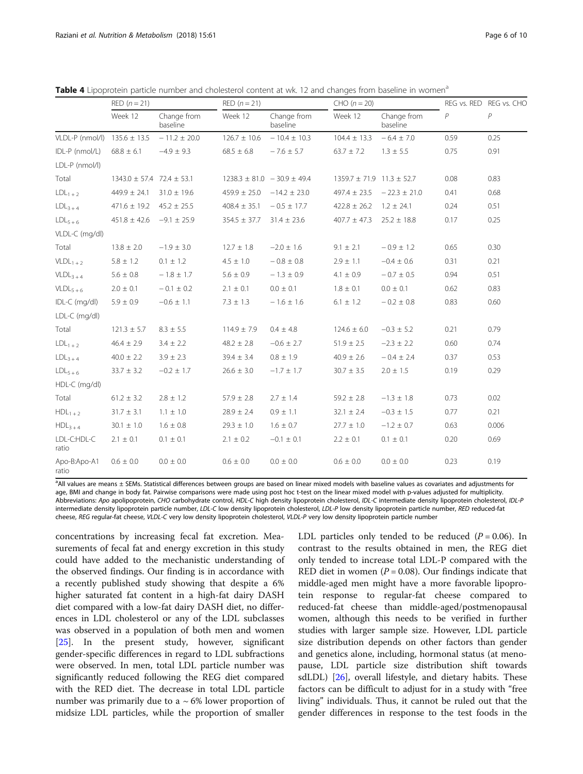<span id="page-5-0"></span>Table 4 Lipoprotein particle number and cholesterol content at wk. 12 and changes from baseline in women<sup>a</sup>

|                       | $RED (n = 21)$                    |                         | $RED (n = 21)$   |                                   | $CHO (n = 20)$                    |                         |      | REG vs. RED REG vs. CHO |
|-----------------------|-----------------------------------|-------------------------|------------------|-----------------------------------|-----------------------------------|-------------------------|------|-------------------------|
|                       | Week 12                           | Change from<br>baseline | Week 12          | Change from<br>baseline           | Week 12                           | Change from<br>baseline | P    | $\overline{P}$          |
| VLDL-P (nmol/l)       | $135.6 \pm 13.5$                  | $-11.2 \pm 20.0$        | $126.7 \pm 10.6$ | $-10.4 \pm 10.3$                  | $104.4 \pm 13.3$                  | $-6.4 \pm 7.0$          | 0.59 | 0.25                    |
| IDL-P (nmol/L)        | $68.8 \pm 6.1$                    | $-4.9 \pm 9.3$          | $68.5 \pm 6.8$   | $-7.6 \pm 5.7$                    | $63.7 \pm 7.2$                    | $1.3 \pm 5.5$           | 0.75 | 0.91                    |
| LDL-P (nmol/l)        |                                   |                         |                  |                                   |                                   |                         |      |                         |
| Total                 | $1343.0 \pm 57.4$ 72.4 $\pm 53.1$ |                         |                  | $1238.3 \pm 81.0 - 30.9 \pm 49.4$ | $1359.7 \pm 71.9$ 11.3 $\pm$ 52.7 |                         | 0.08 | 0.83                    |
| $LDL_{1+2}$           | $449.9 \pm 24.1$                  | $31.0 \pm 19.6$         | $459.9 \pm 25.0$ | $-14.2 \pm 23.0$                  | $497.4 \pm 23.5$                  | $-22.3 \pm 21.0$        | 0.41 | 0.68                    |
| $LDL_{3+4}$           | $471.6 \pm 19.2$                  | $45.2 \pm 25.5$         | $408.4 \pm 35.1$ | $-0.5 \pm 17.7$                   | $422.8 \pm 26.2$                  | $1.2 \pm 24.1$          | 0.24 | 0.51                    |
| $LDL_{5+6}$           | $451.8 \pm 42.6$                  | $-9.1 \pm 25.9$         | $354.5 \pm 37.7$ | $31.4 \pm 23.6$                   | $407.7 \pm 47.3$                  | $25.2 \pm 18.8$         | 0.17 | 0.25                    |
| VLDL-C (mg/dl)        |                                   |                         |                  |                                   |                                   |                         |      |                         |
| Total                 | $13.8 \pm 2.0$                    | $-1.9 \pm 3.0$          | $12.7 \pm 1.8$   | $-2.0 \pm 1.6$                    | $9.1 \pm 2.1$                     | $-0.9 \pm 1.2$          | 0.65 | 0.30                    |
| $VLDL_{1+2}$          | $5.8 \pm 1.2$                     | $0.1 \pm 1.2$           | $4.5 \pm 1.0$    | $-0.8 \pm 0.8$                    | $2.9 \pm 1.1$                     | $-0.4 \pm 0.6$          | 0.31 | 0.21                    |
| $VLDL_{3+4}$          | $5.6 \pm 0.8$                     | $-1.8 \pm 1.7$          | $5.6 \pm 0.9$    | $-1.3 \pm 0.9$                    | $4.1 \pm 0.9$                     | $-0.7 \pm 0.5$          | 0.94 | 0.51                    |
| $VLDL5+6$             | $2.0 \pm 0.1$                     | $-0.1 \pm 0.2$          | $2.1 \pm 0.1$    | $0.0 \pm 0.1$                     | $1.8 \pm 0.1$                     | $0.0 \pm 0.1$           | 0.62 | 0.83                    |
| IDL-C (mg/dl)         | $5.9 \pm 0.9$                     | $-0.6 \pm 1.1$          | $7.3 \pm 1.3$    | $-1.6 \pm 1.6$                    | $6.1 \pm 1.2$                     | $-0.2 \pm 0.8$          | 0.83 | 0.60                    |
| LDL-C (mg/dl)         |                                   |                         |                  |                                   |                                   |                         |      |                         |
| Total                 | $121.3 \pm 5.7$                   | $8.3 \pm 5.5$           | $114.9 \pm 7.9$  | $0.4 \pm 4.8$                     | $124.6 \pm 6.0$                   | $-0.3 \pm 5.2$          | 0.21 | 0.79                    |
| $LDL_{1+2}$           | $46.4 \pm 2.9$                    | $3.4 \pm 2.2$           | $48.2 \pm 2.8$   | $-0.6 \pm 2.7$                    | $51.9 \pm 2.5$                    | $-2.3 \pm 2.2$          | 0.60 | 0.74                    |
| $LDL_{3+4}$           | $40.0 \pm 2.2$                    | $3.9 \pm 2.3$           | $39.4 \pm 3.4$   | $0.8 \pm 1.9$                     | $40.9 \pm 2.6$                    | $-0.4 \pm 2.4$          | 0.37 | 0.53                    |
| $LDL_{5+6}$           | $33.7 \pm 3.2$                    | $-0.2 \pm 1.7$          | $26.6 \pm 3.0$   | $-1.7 \pm 1.7$                    | $30.7 \pm 3.5$                    | $2.0 \pm 1.5$           | 0.19 | 0.29                    |
| HDL-C (mg/dl)         |                                   |                         |                  |                                   |                                   |                         |      |                         |
| Total                 | $61.2 \pm 3.2$                    | $2.8 \pm 1.2$           | $57.9 \pm 2.8$   | $2.7 \pm 1.4$                     | $59.2 \pm 2.8$                    | $-1.3 \pm 1.8$          | 0.73 | 0.02                    |
| $HDL_{1+2}$           | $31.7 \pm 3.1$                    | $1.1 \pm 1.0$           | $28.9 \pm 2.4$   | $0.9 \pm 1.1$                     | $32.1 \pm 2.4$                    | $-0.3 \pm 1.5$          | 0.77 | 0.21                    |
| $HDL_{3+4}$           | $30.1 \pm 1.0$                    | $1.6 \pm 0.8$           | $29.3 \pm 1.0$   | $1.6 \pm 0.7$                     | $27.7 \pm 1.0$                    | $-1.2 \pm 0.7$          | 0.63 | 0.006                   |
| LDL-C:HDL-C<br>ratio  | $2.1 \pm 0.1$                     | $0.1 \pm 0.1$           | $2.1 \pm 0.2$    | $-0.1 \pm 0.1$                    | $2.2 \pm 0.1$                     | $0.1 \pm 0.1$           | 0.20 | 0.69                    |
| Apo-B:Apo-A1<br>ratio | $0.6 \pm 0.0$                     | $0.0 \pm 0.0$           | $0.6 \pm 0.0$    | $0.0\,\pm\,0.0$                   | $0.6 \pm 0.0$                     | $0.0\pm0.0$             | 0.23 | 0.19                    |

a<br>All values are means ± SEMs. Statistical differences between groups are based on linear mixed models with baseline values as covariates and adjustments for age, BMI and change in body fat. Pairwise comparisons were made using post hoc t-test on the linear mixed model with p-values adjusted for multiplicity. Abbreviations: Apo apolipoprotein, CHO carbohydrate control, HDL-C high density lipoprotein cholesterol, IDL-C intermediate density lipoprotein cholesterol, IDL-P intermediate density lipoprotein particle number, LDL-C low density lipoprotein cholesterol, LDL-P low density lipoprotein particle number, RED reduced-fat cheese, REG regular-fat cheese, VLDL-C very low density lipoprotein cholesterol, VLDL-P very low density lipoprotein particle number

concentrations by increasing fecal fat excretion. Measurements of fecal fat and energy excretion in this study could have added to the mechanistic understanding of the observed findings. Our finding is in accordance with a recently published study showing that despite a 6% higher saturated fat content in a high-fat dairy DASH diet compared with a low-fat dairy DASH diet, no differences in LDL cholesterol or any of the LDL subclasses was observed in a population of both men and women [[25\]](#page-9-0). In the present study, however, significant gender-specific differences in regard to LDL subfractions were observed. In men, total LDL particle number was significantly reduced following the REG diet compared with the RED diet. The decrease in total LDL particle number was primarily due to a  $\sim 6\%$  lower proportion of midsize LDL particles, while the proportion of smaller LDL particles only tended to be reduced  $(P = 0.06)$ . In contrast to the results obtained in men, the REG diet only tended to increase total LDL-P compared with the RED diet in women ( $P = 0.08$ ). Our findings indicate that middle-aged men might have a more favorable lipoprotein response to regular-fat cheese compared to reduced-fat cheese than middle-aged/postmenopausal women, although this needs to be verified in further studies with larger sample size. However, LDL particle size distribution depends on other factors than gender and genetics alone, including, hormonal status (at menopause, LDL particle size distribution shift towards sdLDL) [[26\]](#page-9-0), overall lifestyle, and dietary habits. These factors can be difficult to adjust for in a study with "free living" individuals. Thus, it cannot be ruled out that the gender differences in response to the test foods in the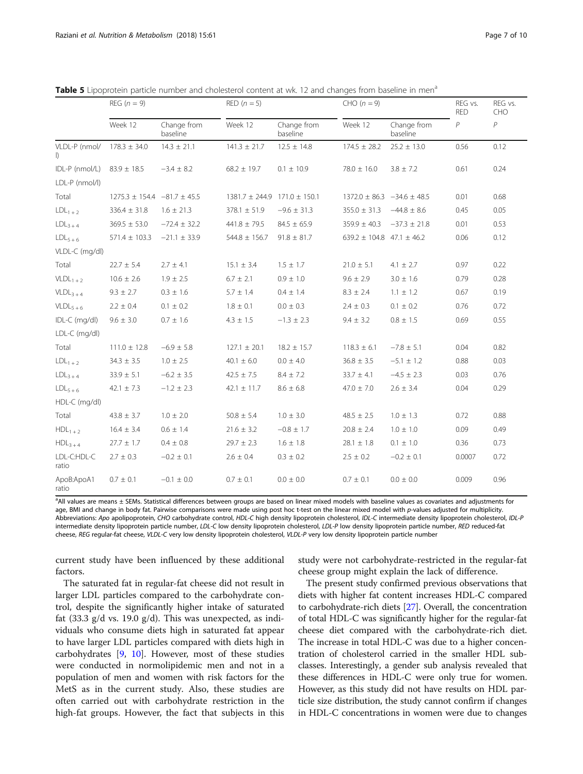<span id="page-6-0"></span>

|  |  |  | Table 5 Lipoprotein particle number and cholesterol content at wk. 12 and changes from baseline in men <sup>a</sup> |  |  |  |
|--|--|--|---------------------------------------------------------------------------------------------------------------------|--|--|--|
|  |  |  |                                                                                                                     |  |  |  |

|                         | REG $(n = 9)$                     |                         | $RED (n = 5)$                        |                         | $CHO (n = 9)$                     |                         | REG vs.<br><b>RED</b> | REG vs.<br>CHO |
|-------------------------|-----------------------------------|-------------------------|--------------------------------------|-------------------------|-----------------------------------|-------------------------|-----------------------|----------------|
|                         | Week 12                           | Change from<br>baseline | Week 12                              | Change from<br>baseline | Week 12                           | Change from<br>baseline | $\mathcal P$          | $\,P$          |
| VLDL-P (nmol/<br>$\Box$ | $178.3 \pm 34.0$                  | $14.3 \pm 21.1$         | $141.3 \pm 21.7$                     | $12.5 \pm 14.8$         | $174.5 \pm 28.2$                  | $25.2 \pm 13.0$         | 0.56                  | 0.12           |
| IDL-P (nmol/L)          | $83.9 \pm 18.5$                   | $-3.4 \pm 8.2$          | $68.2 \pm 19.7$                      | $0.1 \pm 10.9$          | $78.0 \pm 16.0$                   | $3.8 \pm 7.2$           | 0.61                  | 0.24           |
| LDL-P (nmol/l)          |                                   |                         |                                      |                         |                                   |                         |                       |                |
| Total                   | $1275.3 \pm 154.4 -81.7 \pm 45.5$ |                         | $1381.7 \pm 244.9$ 171.0 $\pm$ 150.1 |                         | $1372.0 \pm 86.3 -34.6 \pm 48.5$  |                         | 0.01                  | 0.68           |
| $LDL_{1+2}$             | $336.4 \pm 31.8$                  | $1.6 \pm 21.3$          | $378.1 \pm 51.9$                     | $-9.6 \pm 31.3$         | $355.0 \pm 31.3$                  | $-44.8 \pm 8.6$         | 0.45                  | 0.05           |
| $LDL_{3+4}$             | $369.5 \pm 53.0$                  | $-72.4 \pm 32.2$        | $441.8 \pm 79.5$                     | $84.5 \pm 65.9$         | $359.9 \pm 40.3$                  | $-37.3 \pm 21.8$        | 0.01                  | 0.53           |
| $LDL_{5+6}$             | $571.4 \pm 103.3$                 | $-21.1 \pm 33.9$        | $544.8 \pm 156.7$                    | $91.8 \pm 81.7$         | $639.2 \pm 104.8$ 47.1 $\pm$ 46.2 |                         | 0.06                  | 0.12           |
| VLDL-C (mg/dl)          |                                   |                         |                                      |                         |                                   |                         |                       |                |
| Total                   | $22.7 \pm 5.4$                    | $2.7 \pm 4.1$           | $15.1 \pm 3.4$                       | $1.5 \pm 1.7$           | $21.0 \pm 5.1$                    | 4.1 $\pm$ 2.7           | 0.97                  | 0.22           |
| $VLDL_{1+2}$            | $10.6 \pm 2.6$                    | $1.9 \pm 2.5$           | $6.7 \pm 2.1$                        | $0.9 \pm 1.0$           | $9.6 \pm 2.9$                     | $3.0 \pm 1.6$           | 0.79                  | 0.28           |
| $VLDL_{3+4}$            | $9.3 \pm 2.7$                     | $0.3 \pm 1.6$           | $5.7 \pm 1.4$                        | $0.4 \pm 1.4$           | $8.3 \pm 2.4$                     | $1.1 \pm 1.2$           | 0.67                  | 0.19           |
| $VLDL_{5+6}$            | $2.2 \pm 0.4$                     | $0.1\,\pm\,0.2$         | $1.8 \pm 0.1$                        | $0.0 \pm 0.3$           | $2.4 \pm 0.3$                     | $0.1 \pm 0.2$           | 0.76                  | 0.72           |
| IDL-C (mg/dl)           | $9.6 \pm 3.0$                     | $0.7 \pm 1.6$           | $4.3 \pm 1.5$                        | $-1.3 \pm 2.3$          | $9.4 \pm 3.2$                     | $0.8 \pm 1.5$           | 0.69                  | 0.55           |
| LDL-C (mg/dl)           |                                   |                         |                                      |                         |                                   |                         |                       |                |
| Total                   | $111.0 \pm 12.8$                  | $-6.9$ $\pm$ 5.8        | $127.1 \pm 20.1$                     | $18.2 \pm 15.7$         | $118.3 \pm 6.1$                   | $-7.8 \pm 5.1$          | 0.04                  | 0.82           |
| $LDL_{1+2}$             | $34.3 \pm 3.5$                    | $1.0\,\pm\,2.5$         | $40.1 \pm 6.0$                       | $0.0 \pm 4.0$           | $36.8 \pm 3.5$                    | $-5.1 \pm 1.2$          | 0.88                  | 0.03           |
| $LDL_{3+4}$             | $33.9 \pm 5.1$                    | $-6.2 \pm 3.5$          | $42.5 \pm 7.5$                       | $8.4 \pm 7.2$           | $33.7 \pm 4.1$                    | $-4.5 \pm 2.3$          | 0.03                  | 0.76           |
| $LDL_{5+6}$             | $42.1 \pm 7.3$                    | $-1.2 \pm 2.3$          | $42.1 \pm 11.7$                      | $8.6 \pm 6.8$           | $47.0 \pm 7.0$                    | $2.6 \pm 3.4$           | 0.04                  | 0.29           |
| HDL-C (mg/dl)           |                                   |                         |                                      |                         |                                   |                         |                       |                |
| Total                   | $43.8 \pm 3.7$                    | $1.0 \pm 2.0$           | $50.8 \pm 5.4$                       | $1.0 \pm 3.0$           | $48.5 \pm 2.5$                    | $1.0 \pm 1.3$           | 0.72                  | 0.88           |
| $HDL_{1+2}$             | $16.4 \pm 3.4$                    | $0.6 \pm 1.4$           | $21.6 \pm 3.2$                       | $-0.8 \pm 1.7$          | $20.8 \pm 2.4$                    | $1.0 \pm 1.0$           | 0.09                  | 0.49           |
| $HDL_{3+4}$             | $27.7 \pm 1.7$                    | $0.4 \pm 0.8$           | $29.7 \pm 2.3$                       | $1.6 \pm 1.8$           | $28.1 \pm 1.8$                    | $0.1 \pm 1.0$           | 0.36                  | 0.73           |
| LDL-C:HDL-C<br>ratio    | $2.7 \pm 0.3$                     | $-0.2 \pm 0.1$          | $2.6 \pm 0.4$                        | $0.3 \pm 0.2$           | $2.5 \pm 0.2$                     | $-0.2 \pm 0.1$          | 0.0007                | 0.72           |
| ApoB:ApoA1<br>ratio     | $0.7 \pm 0.1$                     | $-0.1 \pm 0.0$          | $0.7 \pm 0.1$                        | $0.0 \pm 0.0$           | $0.7 \pm 0.1$                     | $0.0 \pm 0.0$           | 0.009                 | 0.96           |

a<br>All values are means ± SEMs. Statistical differences between groups are based on linear mixed models with baseline values as covariates and adjustments for age, BMI and change in body fat. Pairwise comparisons were made using post hoc t-test on the linear mixed model with p-values adjusted for multiplicity. Abbreviations: Apo apolipoprotein, CHO carbohydrate control, HDL-C high density lipoprotein cholesterol, IDL-C intermediate density lipoprotein cholesterol, IDL-P intermediate density lipoprotein particle number, LDL-C low density lipoprotein cholesterol, LDL-P low density lipoprotein particle number, RED reduced-fat cheese, REG regular-fat cheese, VLDL-C very low density lipoprotein cholesterol, VLDL-P very low density lipoprotein particle number

current study have been influenced by these additional factors.

study were not carbohydrate-restricted in the regular-fat cheese group might explain the lack of difference.

The saturated fat in regular-fat cheese did not result in larger LDL particles compared to the carbohydrate control, despite the significantly higher intake of saturated fat  $(33.3 \text{ g/d vs. } 19.0 \text{ g/d})$ . This was unexpected, as individuals who consume diets high in saturated fat appear to have larger LDL particles compared with diets high in carbohydrates [\[9,](#page-8-0) [10](#page-8-0)]. However, most of these studies were conducted in normolipidemic men and not in a population of men and women with risk factors for the MetS as in the current study. Also, these studies are often carried out with carbohydrate restriction in the high-fat groups. However, the fact that subjects in this

The present study confirmed previous observations that diets with higher fat content increases HDL-C compared to carbohydrate-rich diets [\[27\]](#page-9-0). Overall, the concentration of total HDL-C was significantly higher for the regular-fat cheese diet compared with the carbohydrate-rich diet. The increase in total HDL-C was due to a higher concentration of cholesterol carried in the smaller HDL subclasses. Interestingly, a gender sub analysis revealed that these differences in HDL-C were only true for women. However, as this study did not have results on HDL particle size distribution, the study cannot confirm if changes in HDL-C concentrations in women were due to changes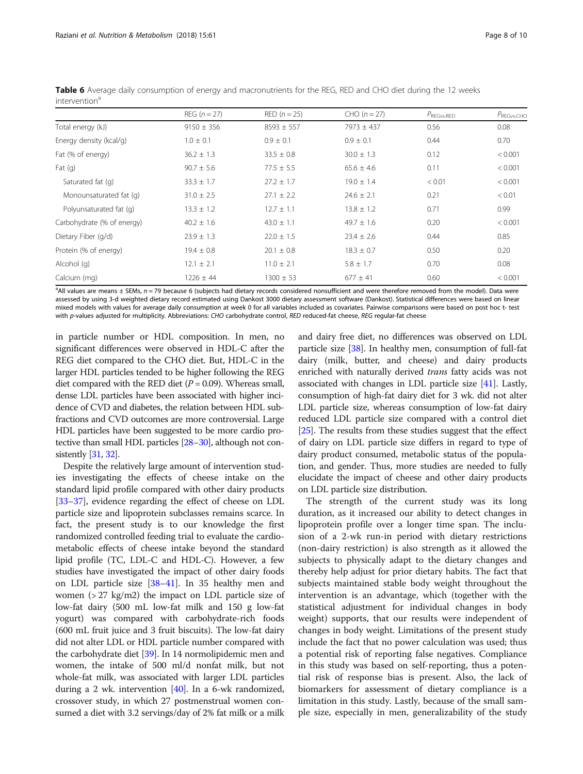|                            | $REG (n = 27)$ | $RED (n = 25)$ | $CHO (n = 27)$ | $P_{\text{REGvs.RED}}$ | $P_{\text{REGvs.CHO}}$ |
|----------------------------|----------------|----------------|----------------|------------------------|------------------------|
| Total energy (kJ)          | $9150 \pm 356$ | $8593 \pm 557$ | $7973 \pm 437$ | 0.56                   | 0.08                   |
| Energy density (kcal/g)    | $1.0 \pm 0.1$  | $0.9 \pm 0.1$  | $0.9 \pm 0.1$  | 0.44                   | 0.70                   |
| Fat (% of energy)          | $36.2 \pm 1.3$ | $33.5 \pm 0.8$ | $30.0 \pm 1.3$ | 0.12                   | < 0.001                |
| Fat(q)                     | $90.7 \pm 5.6$ | $77.5 \pm 5.5$ | $65.6 \pm 4.6$ | 0.11                   | < 0.001                |
| Saturated fat (g)          | $33.3 \pm 1.7$ | $27.2 \pm 1.7$ | $19.0 \pm 1.4$ | < 0.01                 | < 0.001                |
| Monounsaturated fat (q)    | $31.0 \pm 2.5$ | $27.1 \pm 2.2$ | $24.6 \pm 2.1$ | 0.21                   | < 0.01                 |
| Polyunsaturated fat (q)    | $13.3 \pm 1.2$ | $12.7 \pm 1.1$ | $13.8 \pm 1.2$ | 0.71                   | 0.99                   |
| Carbohydrate (% of energy) | $40.2 \pm 1.6$ | $43.0 \pm 1.1$ | $49.7 \pm 1.6$ | 0.20                   | < 0.001                |
| Dietary Fiber (g/d)        | $23.9 \pm 1.3$ | $22.0 \pm 1.5$ | $23.4 \pm 2.6$ | 0.44                   | 0.85                   |
| Protein (% of energy)      | $19.4 \pm 0.8$ | $20.1 \pm 0.8$ | $18.3 \pm 0.7$ | 0.50                   | 0.20                   |
| Alcohol (g)                | $12.1 \pm 2.1$ | $11.0 \pm 2.1$ | $5.8 \pm 1.7$  | 0.70                   | 0.08                   |
| Calcium (mg)               | $1226 \pm 44$  | $1300 \pm 53$  | $677 \pm 41$   | 0.60                   | < 0.001                |

<span id="page-7-0"></span>Table 6 Average daily consumption of energy and macronutrients for the REG, RED and CHO diet during the 12 weeks  $int$ envention $^3$ 

a<br>All values are means ± SEMs, n = 79 because 6 (subjects had dietary records considered nonsufficient and were therefore removed from the model). Data were assessed by using 3-d weighted dietary record estimated using Dankost 3000 dietary assessment software (Dankost). Statistical differences were based on linear mixed models with values for average daily consumption at week 0 for all variables included as covariates. Pairwise comparisons were based on post hoc t- test with p-values adjusted for multiplicity. Abbreviations: CHO carbohydrate control, RED reduced-fat cheese, REG regular-fat cheese

in particle number or HDL composition. In men, no significant differences were observed in HDL-C after the REG diet compared to the CHO diet. But, HDL-C in the larger HDL particles tended to be higher following the REG diet compared with the RED diet  $(P = 0.09)$ . Whereas small, dense LDL particles have been associated with higher incidence of CVD and diabetes, the relation between HDL subfractions and CVD outcomes are more controversial. Large HDL particles have been suggested to be more cardio protective than small HDL particles [\[28](#page-9-0)–[30\]](#page-9-0), although not consistently [\[31](#page-9-0), [32](#page-9-0)].

Despite the relatively large amount of intervention studies investigating the effects of cheese intake on the standard lipid profile compared with other dairy products [[33](#page-9-0)–[37\]](#page-9-0), evidence regarding the effect of cheese on LDL particle size and lipoprotein subclasses remains scarce. In fact, the present study is to our knowledge the first randomized controlled feeding trial to evaluate the cardiometabolic effects of cheese intake beyond the standard lipid profile (TC, LDL-C and HDL-C). However, a few studies have investigated the impact of other dairy foods on LDL particle size [[38](#page-9-0)–[41\]](#page-9-0). In 35 healthy men and women  $(>27 \text{ kg/m2})$  the impact on LDL particle size of low-fat dairy (500 mL low-fat milk and 150 g low-fat yogurt) was compared with carbohydrate-rich foods (600 mL fruit juice and 3 fruit biscuits). The low-fat dairy did not alter LDL or HDL particle number compared with the carbohydrate diet [[39](#page-9-0)]. In 14 normolipidemic men and women, the intake of 500 ml/d nonfat milk, but not whole-fat milk, was associated with larger LDL particles during a 2 wk. intervention [[40](#page-9-0)]. In a 6-wk randomized, crossover study, in which 27 postmenstrual women consumed a diet with 3.2 servings/day of 2% fat milk or a milk and dairy free diet, no differences was observed on LDL particle size [[38\]](#page-9-0). In healthy men, consumption of full-fat dairy (milk, butter, and cheese) and dairy products enriched with naturally derived trans fatty acids was not associated with changes in LDL particle size [\[41\]](#page-9-0). Lastly, consumption of high-fat dairy diet for 3 wk. did not alter LDL particle size, whereas consumption of low-fat dairy reduced LDL particle size compared with a control diet [[25](#page-9-0)]. The results from these studies suggest that the effect of dairy on LDL particle size differs in regard to type of dairy product consumed, metabolic status of the population, and gender. Thus, more studies are needed to fully elucidate the impact of cheese and other dairy products on LDL particle size distribution.

The strength of the current study was its long duration, as it increased our ability to detect changes in lipoprotein profile over a longer time span. The inclusion of a 2-wk run-in period with dietary restrictions (non-dairy restriction) is also strength as it allowed the subjects to physically adapt to the dietary changes and thereby help adjust for prior dietary habits. The fact that subjects maintained stable body weight throughout the intervention is an advantage, which (together with the statistical adjustment for individual changes in body weight) supports, that our results were independent of changes in body weight. Limitations of the present study include the fact that no power calculation was used; thus a potential risk of reporting false negatives. Compliance in this study was based on self-reporting, thus a potential risk of response bias is present. Also, the lack of biomarkers for assessment of dietary compliance is a limitation in this study. Lastly, because of the small sample size, especially in men, generalizability of the study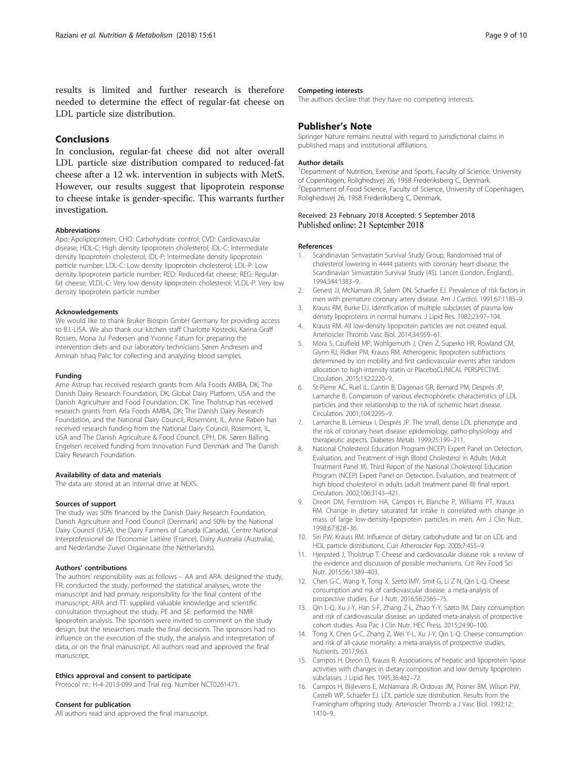<span id="page-8-0"></span>results is limited and further research is therefore needed to determine the effect of regular-fat cheese on LDL particle size distribution.

# Conclusions

In conclusion, regular-fat cheese did not alter overall LDL particle size distribution compared to reduced-fat cheese after a 12 wk. intervention in subjects with MetS. However, our results suggest that lipoprotein response to cheese intake is gender-specific. This warrants further investigation.

## Abbreviations

Apo: Apolipoprotein; CHO: Carbohydrate control; CVD: Cardiovascular disease; HDL-C: High density lipoprotein cholesterol; IDL-C: Intermediate density lipoprotein cholesterol; IDL-P: Intermediate density lipoprotein particle number; LDL-C: Low density lipoprotein cholesterol; LDL-P: Low density lipoprotein particle number; RED: Reduced-fat cheese; REG: Regularfat cheese; VLDL-C: Very low density lipoprotein cholesterol; VLDL-P: Very low density lipoprotein particle number

#### Acknowledgements

We would like to thank Bruker Biospin GmbH Germany for providing access to B.I.-LISA. We also thank our kitchen staff Charlotte Kostecki, Karina Graff Rossen, Mona Jul Pedersen and Yvonne Fatum for preparing the intervention diets and our laboratory technicians Søren Andresen and Aminah Ishaq Palic for collecting and analyzing blood samples.

#### Funding

Arne Astrup has received research grants from Arla Foods AMBA, DK; The Danish Dairy Research Foundation, DK; Global Dairy Platform, USA and the Danish Agriculture and Food Foundation, DK. Tine Tholstrup has received research grants from Arla Foods AMBA, DK; The Danish Dairy Research Foundation, and the National Dairy Council, Rosemont, IL. Anne Raben has received research funding from the National Dairy Council, Rosemont, IL, USA and The Danish Agriculture & Food Council, CPH, DK. Søren Balling Engelsen received funding from Innovation Fund Denmark and The Danish Dairy Research Foundation.

#### Availability of data and materials

The data are stored at an internal drive at NEXS.

#### Sources of support

The study was 50% financed by the Danish Dairy Research Foundation, Danish Agriculture and Food Council (Denmark) and 50% by the National Dairy Council (USA), the Dairy Farmers of Canada (Canada), Centre National Interprofessionel de l'Economie Laitière (France), Dairy Australia (Australia), and Nederlandse Zuivel Organisatie (the Netherlands).

#### Authors' contributions

The authors' responsibility was as follows – AA and ARA: designed the study, FR: conducted the study, performed the statistical analyses, wrote the manuscript and had primary responsibility for the final content of the manuscript, ARA and TT: supplied valuable knowledge and scientific consultation throughout the study, PE and SE: performed the NMR lipoprotein analysis. The sponsors were invited to comment on the study design, but the researchers made the final decisions. The sponsors had no influence on the execution of the study, the analysis and interpretation of data, or on the final manuscript. All authors read and approved the final manuscript.

#### Ethics approval and consent to participate

Protocol nr.: H-4-2013-099 and Trial reg. Number NCT0261471.

#### Consent for publication

All authors read and approved the final manuscript.

#### Competing interests

The authors declare that they have no competing interests.

# Publisher's Note

Springer Nature remains neutral with regard to jurisdictional claims in published maps and institutional affiliations.

#### Author details

<sup>1</sup>Department of Nutrition, Exercise and Sports, Faculty of Science, University of Copenhagen, Rolighedsvej 26, 1958 Frederiksberg C, Denmark. <sup>2</sup> Department of Food Science, Faculty of Science, University of Copenhagen, Rolighedsvej 26, 1958 Frederiksberg C, Denmark.

# Received: 23 February 2018 Accepted: 5 September 2018 Published online: 21 September 2018

#### References

- 1. Scandinavian Simvastatin Survival Study Group, Randomised trial of cholesterol lowering in 4444 patients with coronary heart disease: the Scandinavian Simvastatin Survival Study (4S). Lancet (London, England). 1994;344:1383–9.
- 2. Genest JJ, McNamara JR, Salem DN, Schaefer EJ. Prevalence of risk factors in men with premature coronary artery disease. Am J Cardiol. 1991;67:1185–9.
- 3. Krauss RM, Burke DJ. Identification of multiple subclasses of plasma low density lipoproteins in normal humans. J Lipid Res. 1982;23:97–104. 4. Krauss RM. All low-density lipoprotein particles are not created equal.
- Arterioscler Thromb Vasc Biol. 2014;34:959–61.
- 5. Mora S, Caulfield MP, Wohlgemuth J, Chen Z, Superko HR, Rowland CM, Glynn RJ, Ridker PM, Krauss RM. Atherogenic lipoprotein subfractions determined by ion mobility and first cardiovascular events after random allocation to high-intensity statin or PlaceboCLINICAL PERSPECTIVE. Circulation. 2015;132:2220–9.
- 6. St-Pierre AC, Ruel IL, Cantin B, Dagenais GR, Bernard PM, Després JP, Lamarche B. Comparison of various electrophoretic characteristics of LDL particles and their relationship to the risk of ischemic heart disease. Circulation. 2001;104:2295–9.
- Lamarche B, Lemieux I, Després JP. The small, dense LDL phenotype and the risk of coronary heart disease: epidemiology, patho-physiology and therapeutic aspects. Diabetes Metab. 1999;25:199–211.
- National Cholesterol Education Program (NCEP) Expert Panel on Detection, Evaluation, and Treatment of High Blood Cholesterol in Adults (Adult Treatment Panel III). Third Report of the National Cholesterol Education Program (NCEP) Expert Panel on Detection. Evaluation, and treatment of high blood cholesterol in adults (adult treatment panel III) final report. Circulation. 2002;106:3143–421.
- 9. Dreon DM, Fernstrom HA, Campos H, Blanche P, Williams PT, Krauss RM. Change in dietary saturated fat intake is correlated with change in mass of large low-density-lipoprotein particles in men. Am J Clin Nutr. 1998;67:828–36.
- 10. Siri PW, Krauss RM. Influence of dietary carbohydrate and fat on LDL and HDL particle distributions. Curr Atheroscler Rep. 2005;7:455–9.
- 11. Hjerpsted J, Tholstrup T. Cheese and cardiovascular disease risk: a review of the evidence and discussion of possible mechanisms. Crit Rev Food Sci Nutr. 2015;56:1389–403.
- 12. Chen G-C, Wang Y, Tong X, Szeto IMY, Smit G, Li Z-N, Qin L-Q. Cheese consumption and risk of cardiovascular disease: a meta-analysis of prospective studies. Eur J Nutr. 2016;56:2565–75.
- 13. Qin L-Q, Xu J-Y, Han S-F, Zhang Z-L, Zhao Y-Y, Szeto IM. Dairy consumption and risk of cardiovascular disease: an updated meta-analysis of prospective cohort studies. Asia Pac J Clin Nutr. HEC Press. 2015;24:90–100.
- 14. Tong X, Chen G-C, Zhang Z, Wei Y-L, Xu J-Y, Qin L-Q. Cheese consumption and risk of all-cause mortality: a meta-analysis of prospective studies. Nutrients. 2017;9:63.
- 15. Campos H, Dreon D, Krauss R. Associations of hepatic and lipoprotein lipase activities with changes in dietary composition and low density lipoprotein subclasses. J Lipid Res. 1995;36:462–72.
- 16. Campos H, Blijlevens E, McNamara JR, Ordovas JM, Posner BM, Wilson PW, Castelli WP, Schaefer EJ. LDL particle size distribution. Results from the Framingham offspring study. Arterioscler Thromb a J Vasc Biol. 1992;12: 1410–9.